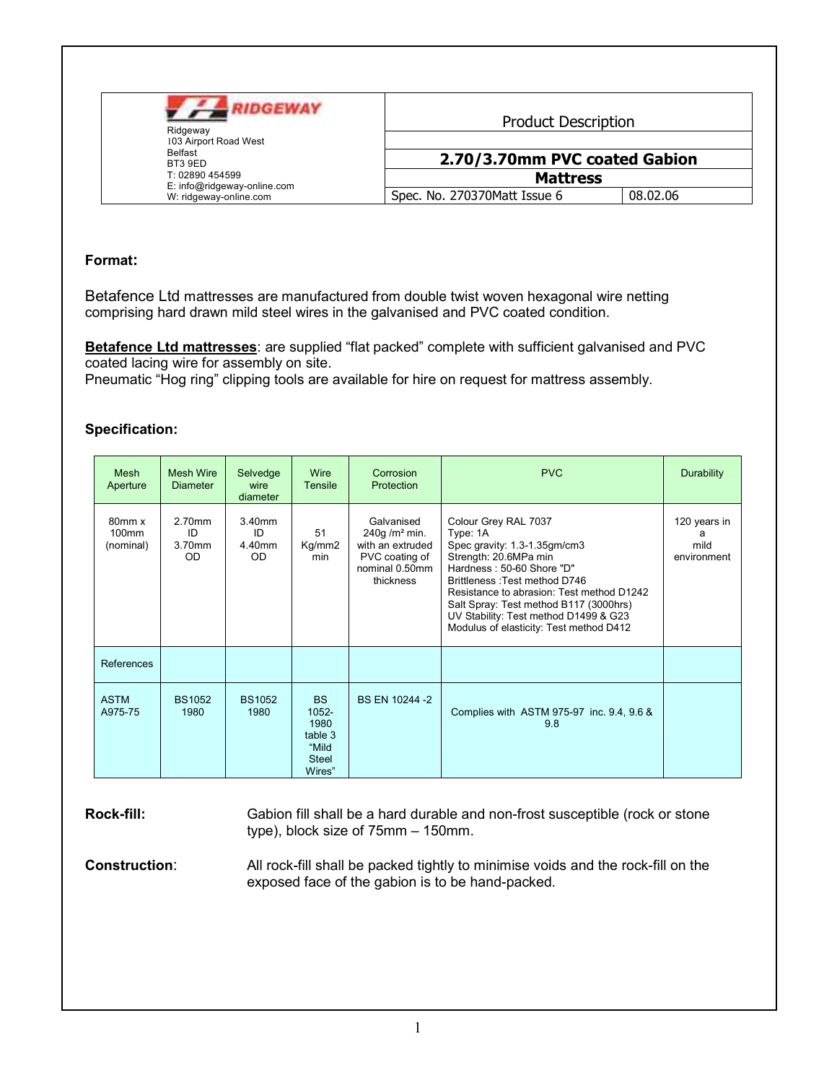| <b>RIDGEWAY</b><br>Ridgeway<br>103 Airport Road West<br>Belfast<br>BT3 9ED | <b>Product Description</b><br>2.70/3.70mm PVC coated Gabion |          |  |
|----------------------------------------------------------------------------|-------------------------------------------------------------|----------|--|
|                                                                            |                                                             |          |  |
| W: ridgeway-online.com                                                     | Spec. No. 270370Matt Issue 6                                | 08.02.06 |  |

## Format:

Betafence Ltd mattresses are manufactured from double twist woven hexagonal wire netting comprising hard drawn mild steel wires in the galvanised and PVC coated condition.

Betafence Ltd mattresses: are supplied "flat packed" complete with sufficient galvanised and PVC coated lacing wire for assembly on site.

Pneumatic "Hog ring" clipping tools are available for hire on request for mattress assembly.

## **Specification:**

| Mesh<br>Aperture             | <b>Mesh Wire</b><br><b>Diameter</b> | Selvedge<br>wire<br>diameter     | Wire<br><b>Tensile</b>                                                   | Corrosion<br>Protection                                                                                     | <b>PVC</b>                                                                                                                                                                                                                                                                                                                         | <b>Durability</b>                        |
|------------------------------|-------------------------------------|----------------------------------|--------------------------------------------------------------------------|-------------------------------------------------------------------------------------------------------------|------------------------------------------------------------------------------------------------------------------------------------------------------------------------------------------------------------------------------------------------------------------------------------------------------------------------------------|------------------------------------------|
| 80mm x<br>100mm<br>(nominal) | 2.70mm<br>ID<br>3.70mm<br>OD        | $3.40$ mm<br>ID<br>4.40mm<br>OD. | 51<br>Kg/mm2<br>min                                                      | Galvanised<br>240q/m <sup>2</sup> min.<br>with an extruded<br>PVC coating of<br>nominal 0.50mm<br>thickness | Colour Grey RAL 7037<br>Type: 1A<br>Spec gravity: 1.3-1.35gm/cm3<br>Strength: 20.6MPa min<br>Hardness: 50-60 Shore "D"<br>Brittleness: Test method D746<br>Resistance to abrasion: Test method D1242<br>Salt Spray: Test method B117 (3000hrs)<br>UV Stability: Test method D1499 & G23<br>Modulus of elasticity: Test method D412 | 120 years in<br>а<br>mild<br>environment |
| References                   |                                     |                                  |                                                                          |                                                                                                             |                                                                                                                                                                                                                                                                                                                                    |                                          |
| <b>ASTM</b><br>A975-75       | <b>BS1052</b><br>1980               | <b>BS1052</b><br>1980            | <b>BS</b><br>1052-<br>1980<br>table 3<br>"Mild<br><b>Steel</b><br>Wires" | BS EN 10244 -2                                                                                              | Complies with ASTM 975-97 inc. 9.4, 9.6 &<br>9.8                                                                                                                                                                                                                                                                                   |                                          |

## Rock-fill: Gabion fill shall be a hard durable and non-frost susceptible (rock or stone type), block size of 75mm - 150mm.

**Construction:** All rock-fill shall be packed tightly to minimise voids and the rock-fill on the exposed face of the gabion is to be hand-packed.